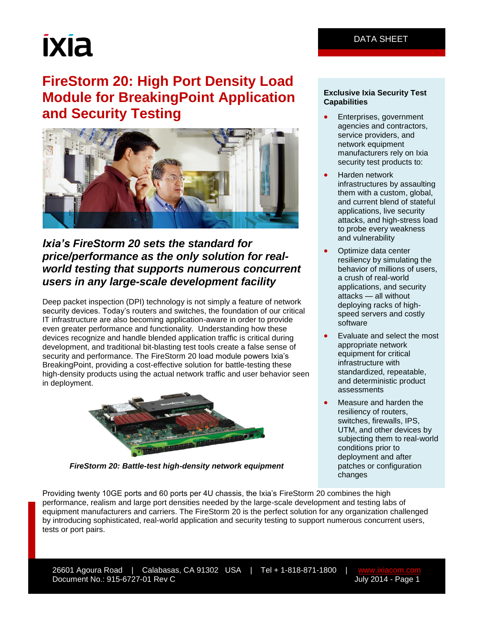# ixia

# **FireStorm 20: High Port Density Load Module for BreakingPoint Application and Security Testing**



### *Ixia's FireStorm 20 sets the standard for price/performance as the only solution for realworld testing that supports numerous concurrent users in any large-scale development facility*

Deep packet inspection (DPI) technology is not simply a feature of network security devices. Today's routers and switches, the foundation of our critical IT infrastructure are also becoming application-aware in order to provide even greater performance and functionality. Understanding how these devices recognize and handle blended application traffic is critical during development, and traditional bit-blasting test tools create a false sense of security and performance. The FireStorm 20 load module powers Ixia's BreakingPoint, providing a cost-effective solution for battle-testing these high-density products using the actual network traffic and user behavior seen in deployment.



*FireStorm 20: Battle-test high-density network equipment*

#### **Exclusive Ixia Security Test Capabilities**

- Enterprises, government agencies and contractors, service providers, and network equipment manufacturers rely on Ixia security test products to:
- Harden network infrastructures by assaulting them with a custom, global, and current blend of stateful applications, live security attacks, and high-stress load to probe every weakness and vulnerability
- Optimize data center resiliency by simulating the behavior of millions of users, a crush of real-world applications, and security attacks — all without deploying racks of highspeed servers and costly software
- Evaluate and select the most appropriate network equipment for critical infrastructure with standardized, repeatable, and deterministic product assessments
- Measure and harden the resiliency of routers, switches, firewalls, IPS, UTM, and other devices by subjecting them to real-world conditions prior to deployment and after patches or configuration changes

Providing twenty 10GE ports and 60 ports per 4U chassis, the Ixia's FireStorm 20 combines the high performance, realism and large port densities needed by the large-scale development and testing labs of equipment manufacturers and carriers. The FireStorm 20 is the perfect solution for any organization challenged by introducing sophisticated, real-world application and security testing to support numerous concurrent users, tests or port pairs.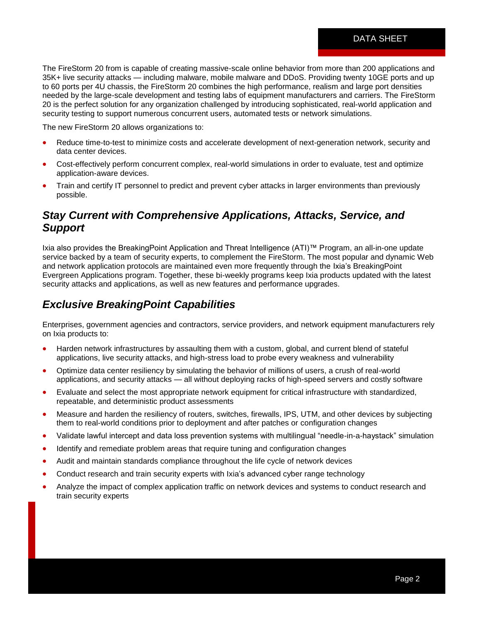The FireStorm 20 from is capable of creating massive-scale online behavior from more than 200 applications and 35K+ live security attacks — including malware, mobile malware and DDoS. Providing twenty 10GE ports and up to 60 ports per 4U chassis, the FireStorm 20 combines the high performance, realism and large port densities needed by the large-scale development and testing labs of equipment manufacturers and carriers. The FireStorm 20 is the perfect solution for any organization challenged by introducing sophisticated, real-world application and security testing to support numerous concurrent users, automated tests or network simulations.

The new FireStorm 20 allows organizations to:

- Reduce time-to-test to minimize costs and accelerate development of next-generation network, security and data center devices.
- Cost-effectively perform concurrent complex, real-world simulations in order to evaluate, test and optimize application-aware devices.
- Train and certify IT personnel to predict and prevent cyber attacks in larger environments than previously possible.

#### *Stay Current with Comprehensive Applications, Attacks, Service, and Support*

Ixia also provides the BreakingPoint Application and Threat Intelligence (ATI)™ Program, an all-in-one update service backed by a team of security experts, to complement the FireStorm. The most popular and dynamic Web and network application protocols are maintained even more frequently through the Ixia's BreakingPoint Evergreen Applications program. Together, these bi-weekly programs keep Ixia products updated with the latest security attacks and applications, as well as new features and performance upgrades.

#### *Exclusive BreakingPoint Capabilities*

Enterprises, government agencies and contractors, service providers, and network equipment manufacturers rely on Ixia products to:

- Harden network infrastructures by assaulting them with a custom, global, and current blend of stateful applications, live security attacks, and high-stress load to probe every weakness and vulnerability
- Optimize data center resiliency by simulating the behavior of millions of users, a crush of real-world applications, and security attacks — all without deploying racks of high-speed servers and costly software
- Evaluate and select the most appropriate network equipment for critical infrastructure with standardized, repeatable, and deterministic product assessments
- Measure and harden the resiliency of routers, switches, firewalls, IPS, UTM, and other devices by subjecting them to real-world conditions prior to deployment and after patches or configuration changes
- Validate lawful intercept and data loss prevention systems with multilingual "needle-in-a-haystack" simulation
- Identify and remediate problem areas that require tuning and configuration changes
- Audit and maintain standards compliance throughout the life cycle of network devices
- Conduct research and train security experts with Ixia's advanced cyber range technology
- Analyze the impact of complex application traffic on network devices and systems to conduct research and train security experts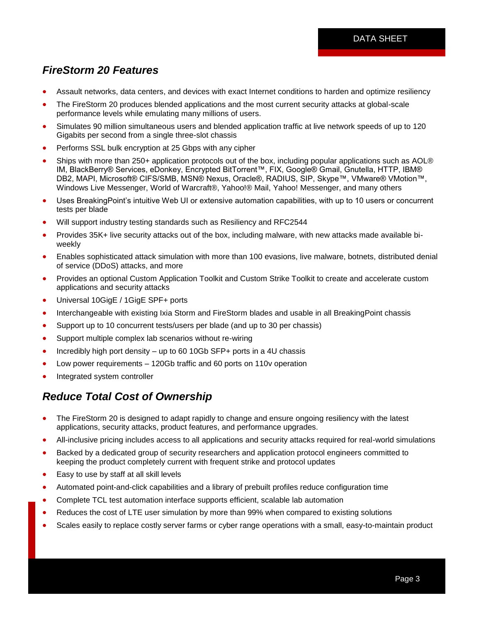# *FireStorm 20 Features*

- Assault networks, data centers, and devices with exact Internet conditions to harden and optimize resiliency
- The FireStorm 20 produces blended applications and the most current security attacks at global-scale performance levels while emulating many millions of users.
- Simulates 90 million simultaneous users and blended application traffic at live network speeds of up to 120 Gigabits per second from a single three-slot chassis
- Performs SSL bulk encryption at 25 Gbps with any cipher
- Ships with more than 250+ application protocols out of the box, including popular applications such as AOL® IM, BlackBerry® Services, eDonkey, Encrypted BitTorrent™, FIX, Google® Gmail, Gnutella, HTTP, IBM® DB2, MAPI, Microsoft® CIFS/SMB, MSN® Nexus, Oracle®, RADIUS, SIP, Skype™, VMware® VMotion™, Windows Live Messenger, World of Warcraft®, Yahoo!® Mail, Yahoo! Messenger, and many others
- Uses BreakingPoint's intuitive Web UI or extensive automation capabilities, with up to 10 users or concurrent tests per blade
- Will support industry testing standards such as Resiliency and RFC2544
- Provides 35K+ live security attacks out of the box, including malware, with new attacks made available biweekly
- Enables sophisticated attack simulation with more than 100 evasions, live malware, botnets, distributed denial of service (DDoS) attacks, and more
- Provides an optional Custom Application Toolkit and Custom Strike Toolkit to create and accelerate custom applications and security attacks
- Universal 10GigE / 1GigE SPF+ ports
- Interchangeable with existing Ixia Storm and FireStorm blades and usable in all BreakingPoint chassis
- Support up to 10 concurrent tests/users per blade (and up to 30 per chassis)
- Support multiple complex lab scenarios without re-wiring
- Incredibly high port density up to 60 10Gb SFP+ ports in a 4U chassis
- Low power requirements 120Gb traffic and 60 ports on 110v operation
- Integrated system controller

## *Reduce Total Cost of Ownership*

- The FireStorm 20 is designed to adapt rapidly to change and ensure ongoing resiliency with the latest applications, security attacks, product features, and performance upgrades.
- All-inclusive pricing includes access to all applications and security attacks required for real-world simulations
- Backed by a dedicated group of security researchers and application protocol engineers committed to keeping the product completely current with frequent strike and protocol updates
- Easy to use by staff at all skill levels
- Automated point-and-click capabilities and a library of prebuilt profiles reduce configuration time
- Complete TCL test automation interface supports efficient, scalable lab automation
- Reduces the cost of LTE user simulation by more than 99% when compared to existing solutions
- Scales easily to replace costly server farms or cyber range operations with a small, easy-to-maintain product